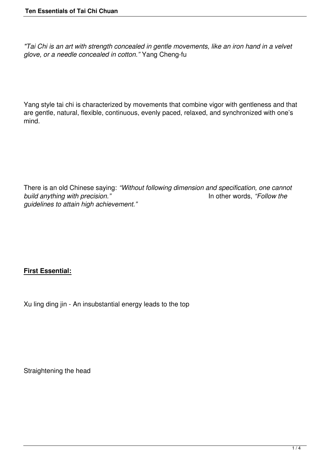*"Tai Chi is an art with strength concealed in gentle movements, like an iron hand in a velvet glove, or a needle concealed in cotton."* Yang Cheng-fu

Yang style tai chi is characterized by movements that combine vigor with gentleness and that are gentle, natural, flexible, continuous, evenly paced, relaxed, and synchronized with one's mind.

There is an old Chinese saying: *"Without following dimension and specification, one cannot build anything with precision."* In other words, *"Follow the guidelines to attain high achievement."*

#### **First Essential:**

Xu ling ding jin - An insubstantial energy leads to the top

Straightening the head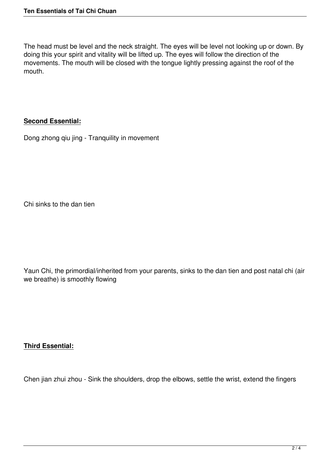The head must be level and the neck straight. The eyes will be level not looking up or down. By doing this your spirit and vitality will be lifted up. The eyes will follow the direction of the movements. The mouth will be closed with the tongue lightly pressing against the roof of the mouth.

#### **Second Essential:**

Dong zhong qiu jing - Tranquility in movement

Chi sinks to the dan tien

Yaun Chi, the primordial/inherited from your parents, sinks to the dan tien and post natal chi (air we breathe) is smoothly flowing

#### **Third Essential:**

Chen jian zhui zhou - Sink the shoulders, drop the elbows, settle the wrist, extend the fingers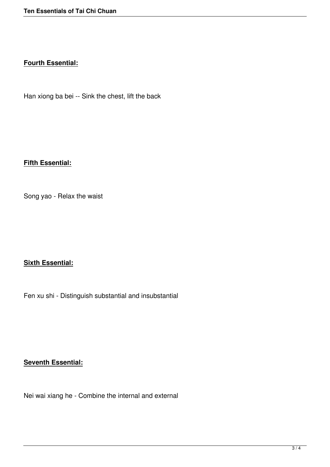#### **Fourth Essential:**

Han xiong ba bei -- Sink the chest, lift the back

# **Fifth Essential:**

Song yao - Relax the waist

### **Sixth Essential:**

Fen xu shi - Distinguish substantial and insubstantial

# **Seventh Essential:**

Nei wai xiang he - Combine the internal and external